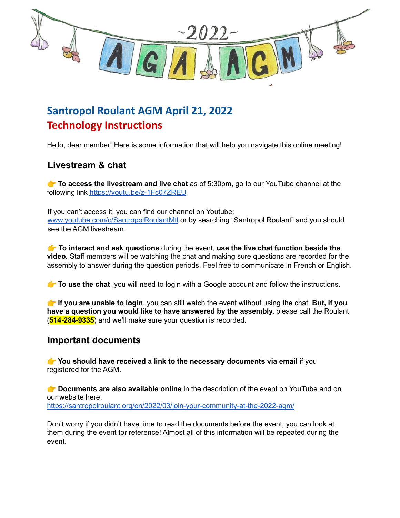

# **Santropol Roulant AGM April 21, 2022 Technology Instructions**

Hello, dear member! Here is some information that will help you navigate this online meeting!

## **Livestream & chat**

 **To access the livestream and live chat** as of 5:30pm, go to our YouTube channel at the following link <https://youtu.be/z-1Fc07ZREU>

If you can't access it, you can find our channel on Youtube: [www.youtube.com/c/SantropolRoulantMtl](http://www.youtube.com/c/SantropolRoulantMtl) or by searching "Santropol Roulant" and you should see the AGM livestream.

 **To interact and ask questions** during the event, **use the live chat function beside the video.** Staff members will be watching the chat and making sure questions are recorded for the assembly to answer during the question periods. Feel free to communicate in French or English.

**To use the chat**, you will need to login with a Google account and follow the instructions.

 **If you are unable to login**, you can still watch the event without using the chat. **But, if you have a question you would like to have answered by the assembly,** please call the Roulant (**514-284-9335**) and we'll make sure your question is recorded.

#### **Important documents**

 **You should have received a link to the necessary documents via email** if you registered for the AGM.

 **Documents are also available online** in the description of the event on YouTube and on our website here: <https://santropolroulant.org/en/2022/03/join-your-community-at-the-2022-agm/>

Don't worry if you didn't have time to read the documents before the event, you can look at them during the event for reference! Almost all of this information will be repeated during the event.